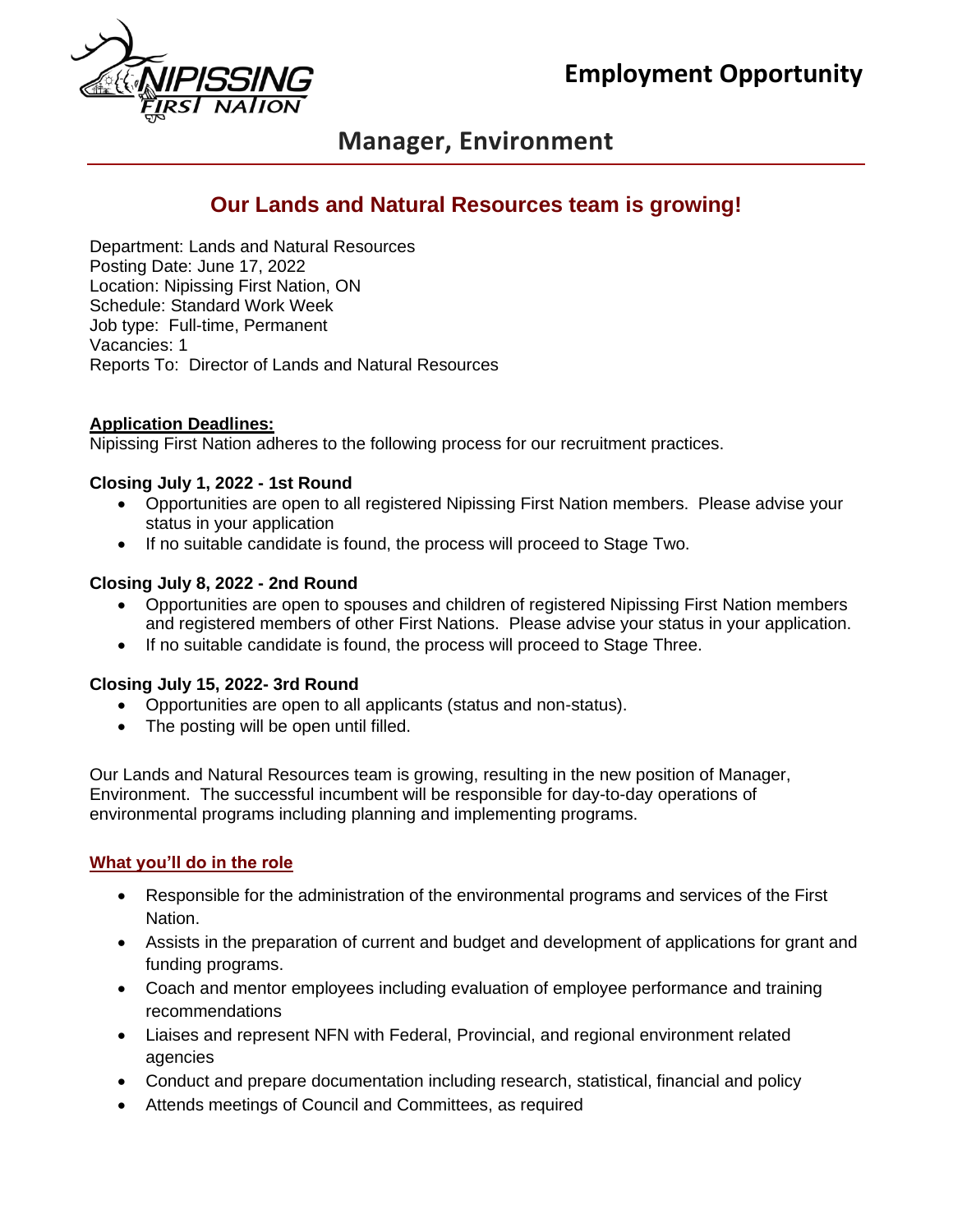

# **Manager, Environment**

## **Our Lands and Natural Resources team is growing!**

Department: Lands and Natural Resources Posting Date: June 17, 2022 Location: Nipissing First Nation, ON Schedule: Standard Work Week Job type: Full-time, Permanent Vacancies: 1 Reports To: Director of Lands and Natural Resources

#### **Application Deadlines:**

Nipissing First Nation adheres to the following process for our recruitment practices.

#### **Closing July 1, 2022 - 1st Round**

- Opportunities are open to all registered Nipissing First Nation members. Please advise your status in your application
- If no suitable candidate is found, the process will proceed to Stage Two.

#### **Closing July 8, 2022 - 2nd Round**

- Opportunities are open to spouses and children of registered Nipissing First Nation members and registered members of other First Nations. Please advise your status in your application.
- If no suitable candidate is found, the process will proceed to Stage Three.

#### **Closing July 15, 2022- 3rd Round**

- Opportunities are open to all applicants (status and non-status).
- The posting will be open until filled.

Our Lands and Natural Resources team is growing, resulting in the new position of Manager, Environment. The successful incumbent will be responsible for day-to-day operations of environmental programs including planning and implementing programs.

#### **What you'll do in the role**

- Responsible for the administration of the environmental programs and services of the First Nation.
- Assists in the preparation of current and budget and development of applications for grant and funding programs.
- Coach and mentor employees including evaluation of employee performance and training recommendations
- Liaises and represent NFN with Federal, Provincial, and regional environment related agencies
- Conduct and prepare documentation including research, statistical, financial and policy
- Attends meetings of Council and Committees, as required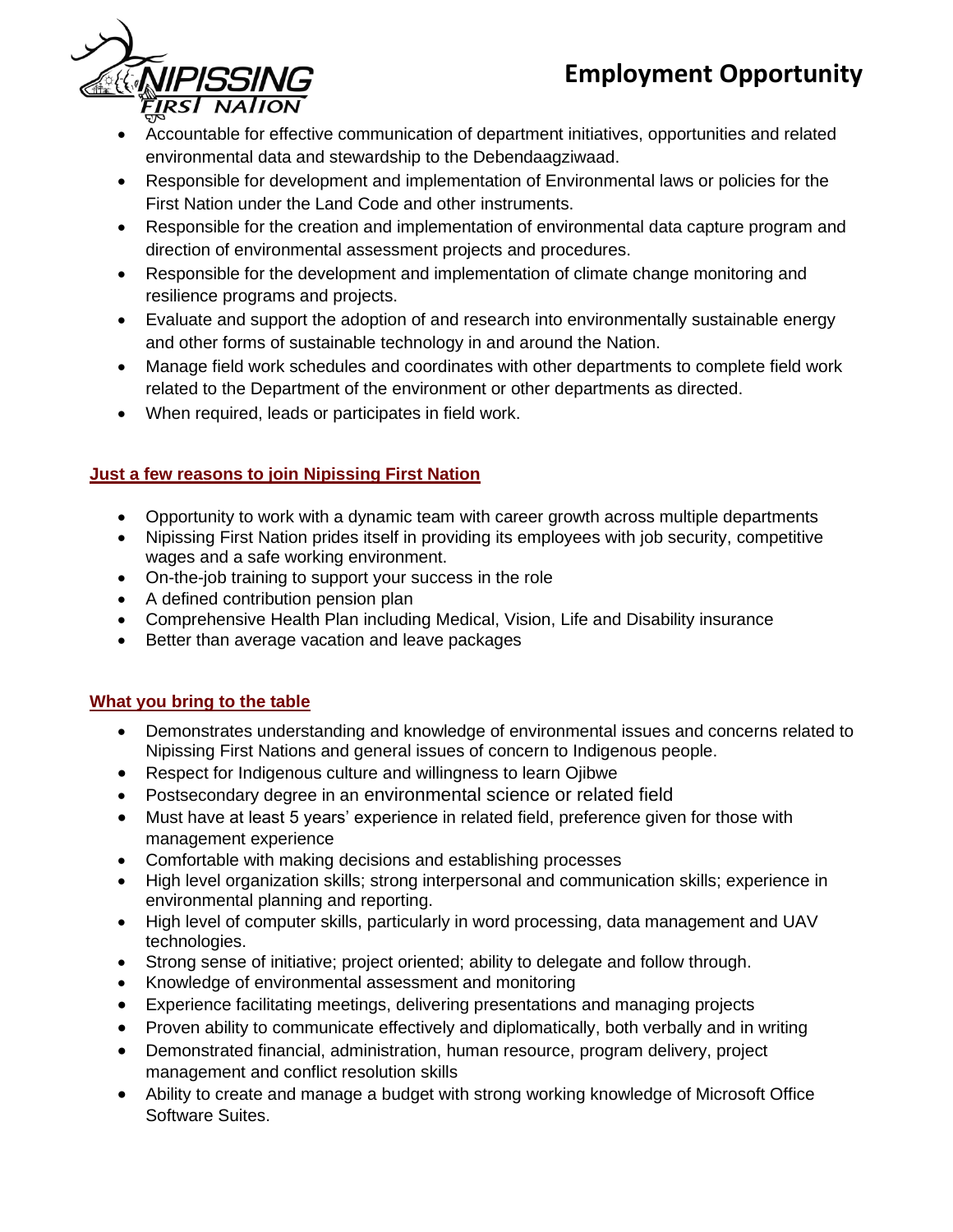# **Employment Opportunity**



- Accountable for effective communication of department initiatives, opportunities and related environmental data and stewardship to the Debendaagziwaad.
- Responsible for development and implementation of Environmental laws or policies for the First Nation under the Land Code and other instruments.
- Responsible for the creation and implementation of environmental data capture program and direction of environmental assessment projects and procedures.
- Responsible for the development and implementation of climate change monitoring and resilience programs and projects.
- Evaluate and support the adoption of and research into environmentally sustainable energy and other forms of sustainable technology in and around the Nation.
- Manage field work schedules and coordinates with other departments to complete field work related to the Department of the environment or other departments as directed.
- When required, leads or participates in field work.

## **Just a few reasons to join Nipissing First Nation**

- Opportunity to work with a dynamic team with career growth across multiple departments
- Nipissing First Nation prides itself in providing its employees with job security, competitive wages and a safe working environment.
- On-the-job training to support your success in the role
- A defined contribution pension plan
- Comprehensive Health Plan including Medical, Vision, Life and Disability insurance
- Better than average vacation and leave packages

### **What you bring to the table**

- Demonstrates understanding and knowledge of environmental issues and concerns related to Nipissing First Nations and general issues of concern to Indigenous people.
- Respect for Indigenous culture and willingness to learn Ojibwe
- Postsecondary degree in an environmental science or related field
- Must have at least 5 years' experience in related field, preference given for those with management experience
- Comfortable with making decisions and establishing processes
- High level organization skills; strong interpersonal and communication skills; experience in environmental planning and reporting.
- High level of computer skills, particularly in word processing, data management and UAV technologies.
- Strong sense of initiative; project oriented; ability to delegate and follow through.
- Knowledge of environmental assessment and monitoring
- Experience facilitating meetings, delivering presentations and managing projects
- Proven ability to communicate effectively and diplomatically, both verbally and in writing
- Demonstrated financial, administration, human resource, program delivery, project management and conflict resolution skills
- Ability to create and manage a budget with strong working knowledge of Microsoft Office Software Suites.